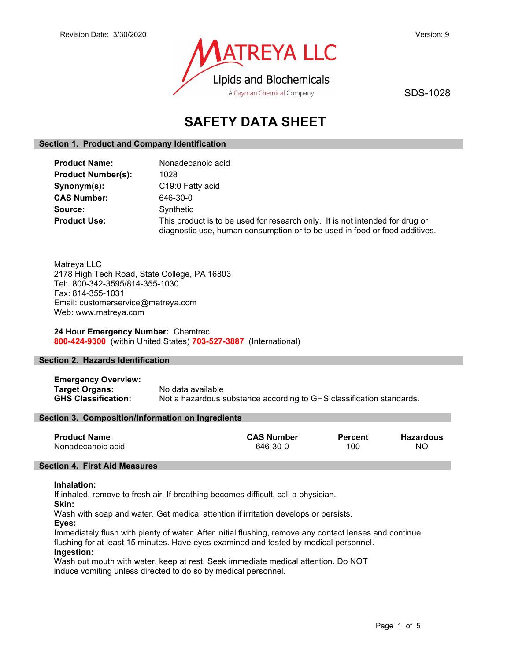

SDS-1028

# SAFETY DATA SHEET

# Section 1. Product and Company Identification

| <b>Product Name:</b>      | Nonadecanoic acid                                                                                                                                          |
|---------------------------|------------------------------------------------------------------------------------------------------------------------------------------------------------|
| <b>Product Number(s):</b> | 1028                                                                                                                                                       |
| Synonym(s):               | C19:0 Fatty acid                                                                                                                                           |
| <b>CAS Number:</b>        | 646-30-0                                                                                                                                                   |
| Source:                   | Synthetic                                                                                                                                                  |
| <b>Product Use:</b>       | This product is to be used for research only. It is not intended for drug or<br>diagnostic use, human consumption or to be used in food or food additives. |

Matreya LLC 2178 High Tech Road, State College, PA 16803 Tel: 800-342-3595/814-355-1030 Fax: 814-355-1031 Email: customerservice@matreya.com Web: www.matreya.com

# 24 Hour Emergency Number: Chemtrec 800-424-9300 (within United States) 703-527-3887 (International)

# Section 2. Hazards Identification

Emergency Overview: Target Organs: No data available GHS Classification: Not a hazardous substance according to GHS classification standards.

# Section 3. Composition/Information on Ingredients

| <b>Product Name</b> | <b>CAS Number</b> | <b>Percent</b> | Hazardous |
|---------------------|-------------------|----------------|-----------|
| Nonadecanoic acid   | 646-30-0          | 100            | ΝO        |

# Section 4. First Aid Measures

### Inhalation:

If inhaled, remove to fresh air. If breathing becomes difficult, call a physician.

Skin:

Wash with soap and water. Get medical attention if irritation develops or persists.

Eyes:

Immediately flush with plenty of water. After initial flushing, remove any contact lenses and continue flushing for at least 15 minutes. Have eyes examined and tested by medical personnel. Ingestion:

Wash out mouth with water, keep at rest. Seek immediate medical attention. Do NOT induce vomiting unless directed to do so by medical personnel.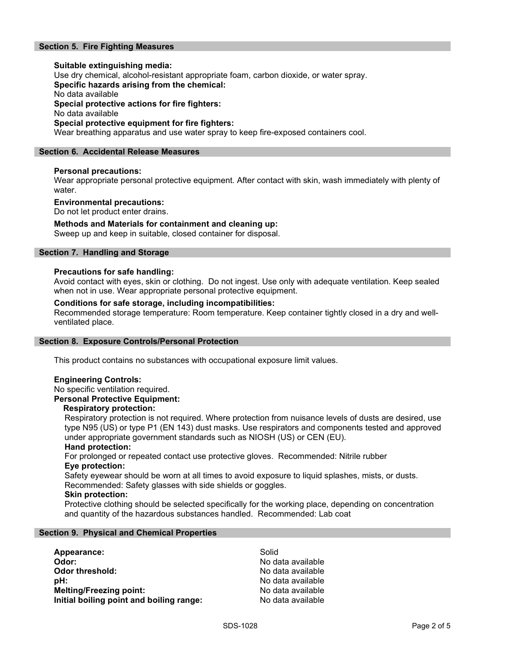# Section 5. Fire Fighting Measures

Suitable extinguishing media: Use dry chemical, alcohol-resistant appropriate foam, carbon dioxide, or water spray. Specific hazards arising from the chemical: No data available Special protective actions for fire fighters: No data available Special protective equipment for fire fighters: Wear breathing apparatus and use water spray to keep fire-exposed containers cool.

# Section 6. Accidental Release Measures

# Personal precautions:

Wear appropriate personal protective equipment. After contact with skin, wash immediately with plenty of water.

### Environmental precautions:

Do not let product enter drains.

# Methods and Materials for containment and cleaning up:

Sweep up and keep in suitable, closed container for disposal.

# Section 7. Handling and Storage

### Precautions for safe handling:

Avoid contact with eyes, skin or clothing. Do not ingest. Use only with adequate ventilation. Keep sealed when not in use. Wear appropriate personal protective equipment.

# Conditions for safe storage, including incompatibilities:

Recommended storage temperature: Room temperature. Keep container tightly closed in a dry and wellventilated place.

### Section 8. Exposure Controls/Personal Protection

This product contains no substances with occupational exposure limit values.

# Engineering Controls:

No specific ventilation required.

# Personal Protective Equipment:

### Respiratory protection:

Respiratory protection is not required. Where protection from nuisance levels of dusts are desired, use type N95 (US) or type P1 (EN 143) dust masks. Use respirators and components tested and approved under appropriate government standards such as NIOSH (US) or CEN (EU).

### Hand protection:

For prolonged or repeated contact use protective gloves. Recommended: Nitrile rubber Eye protection:

Safety eyewear should be worn at all times to avoid exposure to liquid splashes, mists, or dusts. Recommended: Safety glasses with side shields or goggles.

### Skin protection:

Protective clothing should be selected specifically for the working place, depending on concentration and quantity of the hazardous substances handled. Recommended: Lab coat

### Section 9. Physical and Chemical Properties

| Appearance:                              | Solid             |
|------------------------------------------|-------------------|
| Odor:                                    | No data available |
| Odor threshold:                          | No data available |
| :bH                                      | No data available |
| <b>Melting/Freezing point:</b>           | No data available |
| Initial boiling point and boiling range: | No data available |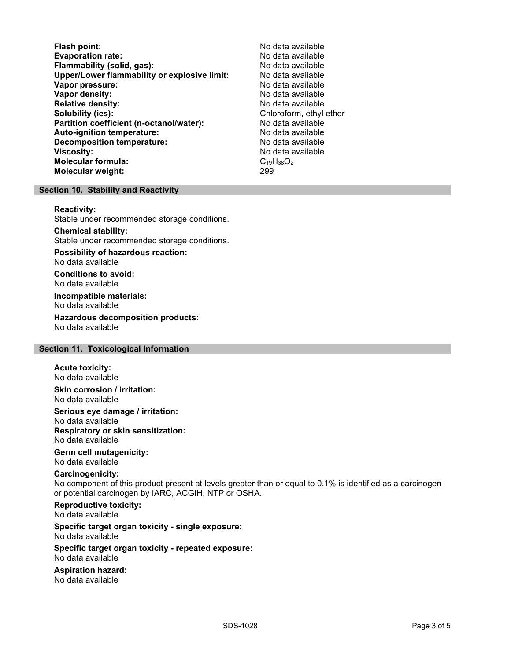Flash point:<br>
Evaporation rate: No data available<br>
No data available Evaporation rate:<br>
Flammability (solid. gas): No data available Flammability (solid, gas): Upper/Lower flammability or explosive limit: No data available Vapor pressure: No data available **Vapor density:** No data available in the set of the set of the No data available Relative density: No data available Solubility (ies): Solubility (ies): Chloroform, ethyl ether Partition coefficient (n-octanol/water): No data available Auto-ignition temperature: No data available Decomposition temperature: **Viscosity:** No data available and the set of the set of the set of the set of the set of the set of the set of the set of the set of the set of the set of the set of the set of the set of the set of the set of the set of Molecular formula:  $C_{19}H_{38}O_2$ <br>Molecular weight:  $299$ Molecular weight:

# Section 10. Stability and Reactivity

#### Reactivity:

Stable under recommended storage conditions.

Chemical stability: Stable under recommended storage conditions.

Possibility of hazardous reaction: No data available

Conditions to avoid: No data available

Incompatible materials: No data available

Hazardous decomposition products: No data available

# Section 11. Toxicological Information

#### Acute toxicity:

No data available Skin corrosion / irritation:

No data available

Serious eye damage / irritation:

No data available Respiratory or skin sensitization: No data available

# Germ cell mutagenicity:

No data available

# Carcinogenicity:

No component of this product present at levels greater than or equal to 0.1% is identified as a carcinogen or potential carcinogen by IARC, ACGIH, NTP or OSHA.

Reproductive toxicity: No data available

Specific target organ toxicity - single exposure: No data available

### Specific target organ toxicity - repeated exposure: No data available

Aspiration hazard: No data available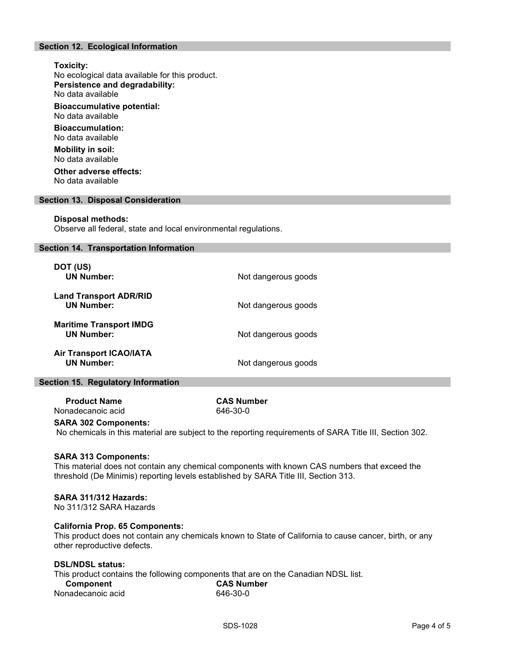# Section 12. Ecological Information

# Toxicity: No ecological data available for this product. Persistence and degradability: No data available Bioaccumulative potential: No data available Bioaccumulation: No data available Mobility in soil: No data available Other adverse effects: No data available

### Section 13. Disposal Consideration

#### Disposal methods:

Observe all federal, state and local environmental regulations.

#### Section 14. Transportation Information

| DOT (US)<br><b>UN Number:</b>                       | Not dangerous goods |  |
|-----------------------------------------------------|---------------------|--|
| <b>Land Transport ADR/RID</b><br><b>UN Number:</b>  | Not dangerous goods |  |
| <b>Maritime Transport IMDG</b><br><b>UN Number:</b> | Not dangerous goods |  |
| <b>Air Transport ICAO/IATA</b><br><b>UN Number:</b> | Not dangerous goods |  |

# Section 15. Regulatory Information

Product Name CAS Number Nonadecanoic acid 646-30-0

#### SARA 302 Components:

No chemicals in this material are subject to the reporting requirements of SARA Title III, Section 302.

#### SARA 313 Components:

This material does not contain any chemical components with known CAS numbers that exceed the threshold (De Minimis) reporting levels established by SARA Title III, Section 313.

# SARA 311/312 Hazards:

No 311/312 SARA Hazards

#### California Prop. 65 Components:

This product does not contain any chemicals known to State of California to cause cancer, birth, or any other reproductive defects.

# DSL/NDSL status:

This product contains the following components that are on the Canadian NDSL list.

| Component         | <b>CAS Number</b> |
|-------------------|-------------------|
| Nonadecanoic acid | 646-30-0          |